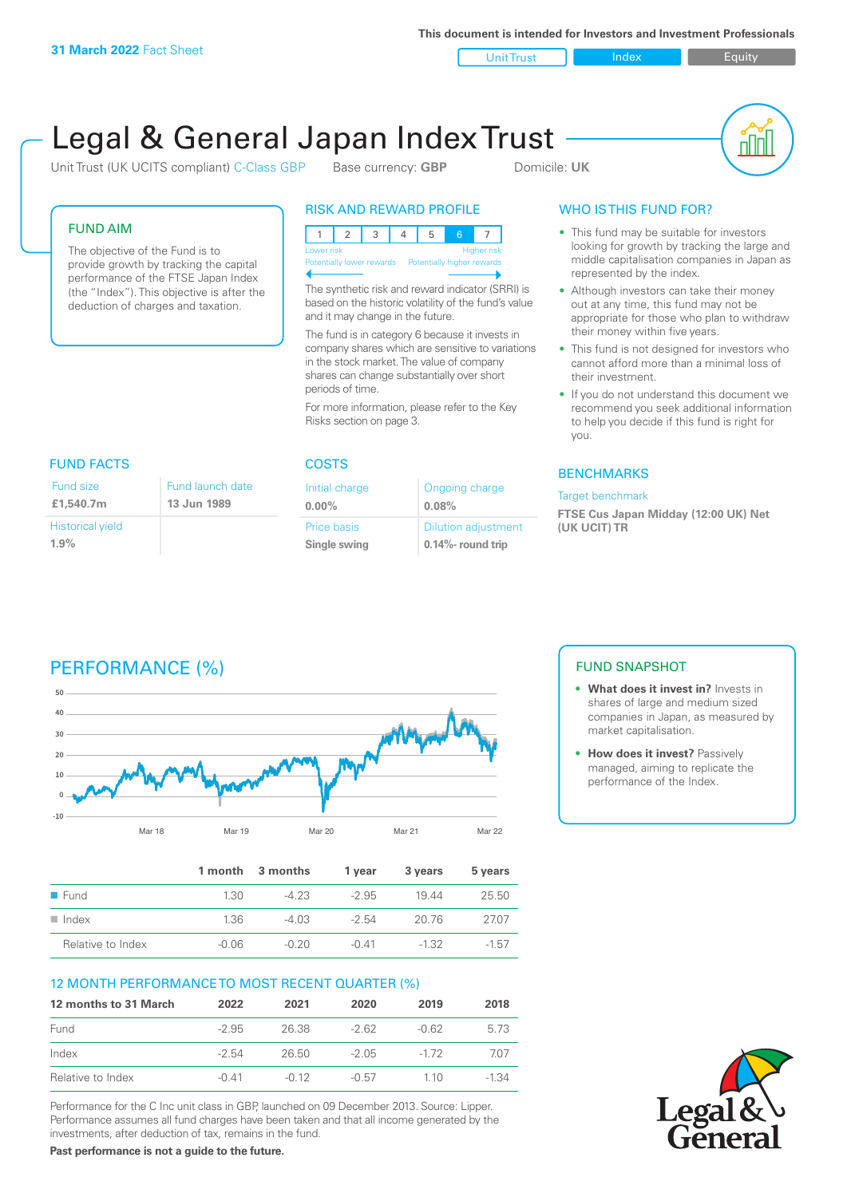**This document is intended for Investors and Investment Professionals**

Unit Trust Index I Equity

# Legal & General Japan Index Trust

Unit Trust (UK UCITS compliant) C-Class GBP Base currency: **GBP** Domicile: UK



#### FUND AIM

The objective of the Fund is to provide growth by tracking the capital performance of the FTSE Japan Index (the "Index"). This objective is after the deduction of charges and taxation.

### RISK AND REWARD PROFILE

|                                                      | Lower risk |  |  |  | <b>Higher risk</b> |
|------------------------------------------------------|------------|--|--|--|--------------------|
| Potentially lower rewards Potentially higher rewards |            |  |  |  |                    |
|                                                      |            |  |  |  |                    |

The synthetic risk and reward indicator (SRRI) is based on the historic volatility of the fund's value and it may change in the future.

The fund is in category 6 because it invests in company shares which are sensitive to variations in the stock market. The value of company shares can change substantially over short periods of time.

For more information, please refer to the Key Risks section on page 3.

#### **FUND FACTS** Historical yield Fund launch date **13 Jun 1989** Fund size **£1,540.7m**

**1.9%**

| <b>COSTS</b>                       |                                                 |  |  |  |
|------------------------------------|-------------------------------------------------|--|--|--|
| Initial charge<br>$0.00\%$         | Ongoing charge<br>0.08%                         |  |  |  |
| <b>Price basis</b><br>Single swing | <b>Dilution adjustment</b><br>0.14%- round trip |  |  |  |

### WHO IS THIS FUND FOR?

- This fund may be suitable for investors looking for growth by tracking the large and middle capitalisation companies in Japan as represented by the index.
- Although investors can take their money out at any time, this fund may not be appropriate for those who plan to withdraw their money within five years.
- This fund is not designed for investors who cannot afford more than a minimal loss of their investment.
- If you do not understand this document we recommend you seek additional information to help you decide if this fund is right for you.

#### **BENCHMARKS**

#### Target benchmark

**FTSE Cus Japan Midday (12:00 UK) Net (UK UCIT) TR**

## PERFORMANCE (%)



|                      |         | 1 month 3 months | 1 vear  | 3 years | 5 years |
|----------------------|---------|------------------|---------|---------|---------|
| $\blacksquare$ Fund  | 1.30    | $-423$           | $-2.95$ | 1944    | 25.50   |
| $\blacksquare$ Index | 1.36    | $-4.03$          | $-2.54$ | 20.76   | 2707    |
| Relative to Index    | $-0.06$ | $-0.20$          | $-0.41$ | $-1.32$ | $-1.57$ |

#### 12 MONTH PERFORMANCE TO MOST RECENT QUARTER (%)

| 12 months to 31 March | 2022    | 2021    | 2020    | 2019     | 2018  |
|-----------------------|---------|---------|---------|----------|-------|
| Fund                  | $-2.95$ | 26.38   | $-262$  | -0.62    | 5 73  |
| Index                 | $-2.54$ | 26.50   | -2.05   | $-1\,72$ | 707   |
| Relative to Index     | $-0.41$ | $-0.12$ | $-0.57$ | 1 1 0    | -1.34 |

Performance for the C Inc unit class in GBP, launched on 09 December 2013. Source: Lipper. Performance assumes all fund charges have been taken and that all income generated by the investments, after deduction of tax, remains in the fund.

FUND SNAPSHOT

- **• What does it invest in?** Invests in shares of large and medium sized companies in Japan, as measured by market capitalisation.
- **• How does it invest?** Passively managed, aiming to replicate the performance of the Index.



**Past performance is not a guide to the future.**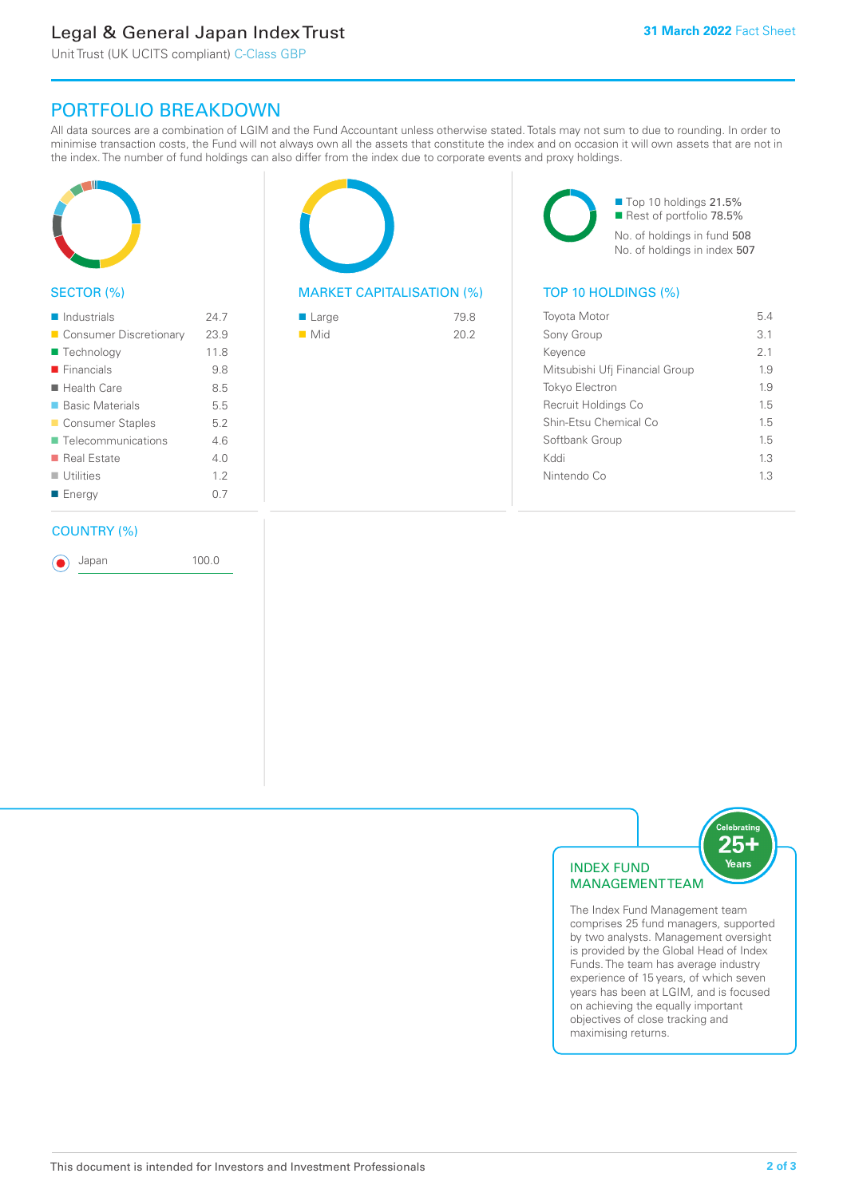### Legal & General Japan Index Trust

Unit Trust (UK UCITS compliant) C-Class GBP

### PORTFOLIO BREAKDOWN

All data sources are a combination of LGIM and the Fund Accountant unless otherwise stated. Totals may not sum to due to rounding. In order to minimise transaction costs, the Fund will not always own all the assets that constitute the index and on occasion it will own assets that are not in the index. The number of fund holdings can also differ from the index due to corporate events and proxy holdings.



#### SECTOR (%)

| $\blacksquare$ Industrials | 24.7 |
|----------------------------|------|
| ■ Consumer Discretionary   | 23.9 |
| ■ Technology               | 11.8 |
| $\blacksquare$ Financials  | 9.8  |
| $\blacksquare$ Health Care | 8.5  |
| ■ Basic Materials          | 5.5  |
| ■ Consumer Staples         | 5.2  |
| ■ Telecommunications       | 46   |
| ■ Real Estate              | 4 N  |
| $\blacksquare$ Utilities   | 12   |
| ■ Energy                   | 0.7  |
|                            |      |

#### COUNTRY (%)

Japan 100.0

#### MARKET CAPITALISATION (%) TOP 10 HOLDINGS (%)

| $\blacksquare$ Large | 79.8 |
|----------------------|------|
| $\blacksquare$ Mid   | 20.2 |
|                      |      |

■ Top 10 holdings 21.5% Rest of portfolio 78.5% No. of holdings in fund 508 No. of holdings in index 507

| <b>Toyota Motor</b>            | 54  |
|--------------------------------|-----|
| Sony Group                     | 31  |
| Keyence                        | 2.1 |
| Mitsubishi Ufi Financial Group | 19  |
| <b>Tokyo Electron</b>          | 19  |
| Recruit Holdings Co            | 15  |
| Shin-Etsu Chemical Co          | 15  |
| Softbank Group                 | 15  |
| Kddi                           | 13  |
| Nintendo Co                    | 13  |
|                                |     |



The Index Fund Management team comprises 25 fund managers, supported by two analysts. Management oversight is provided by the Global Head of Index Funds. The team has average industry experience of 15 years, of which seven years has been at LGIM, and is focused on achieving the equally important objectives of close tracking and maximising returns.